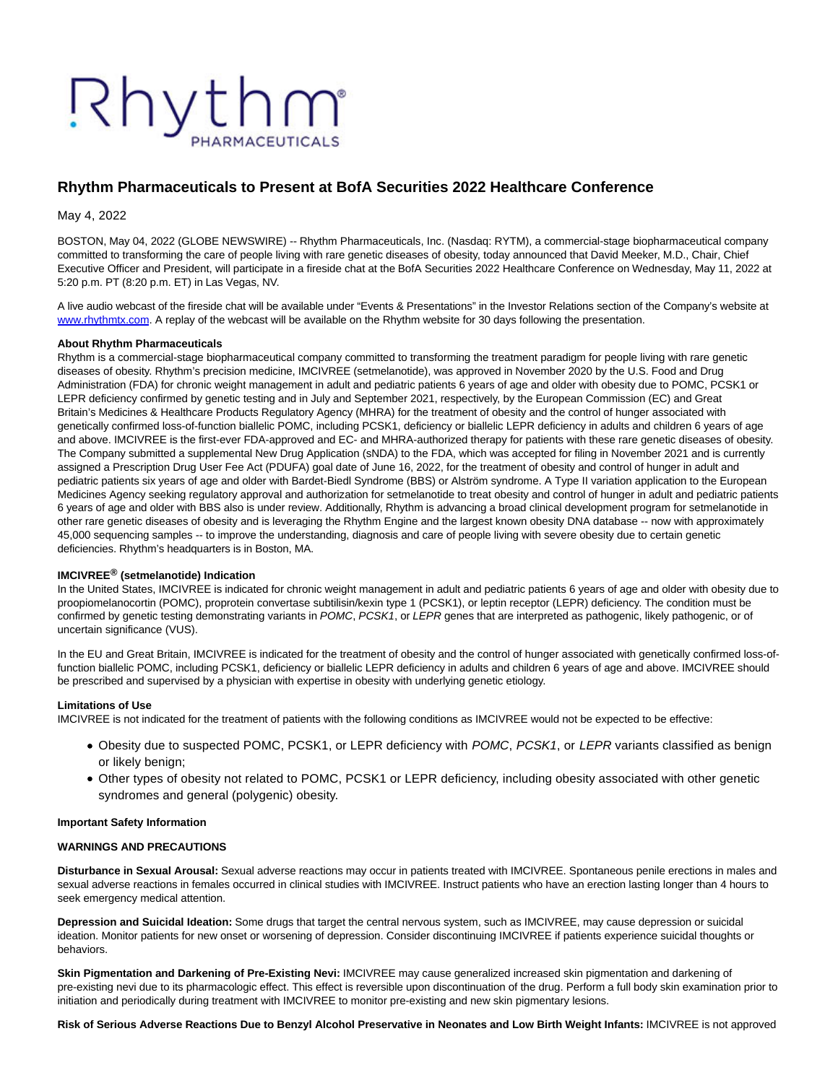# Rhythm

# **Rhythm Pharmaceuticals to Present at BofA Securities 2022 Healthcare Conference**

May 4, 2022

BOSTON, May 04, 2022 (GLOBE NEWSWIRE) -- Rhythm Pharmaceuticals, Inc. (Nasdaq: RYTM), a commercial-stage biopharmaceutical company committed to transforming the care of people living with rare genetic diseases of obesity, today announced that David Meeker, M.D., Chair, Chief Executive Officer and President, will participate in a fireside chat at the BofA Securities 2022 Healthcare Conference on Wednesday, May 11, 2022 at 5:20 p.m. PT (8:20 p.m. ET) in Las Vegas, NV.

A live audio webcast of the fireside chat will be available under "Events & Presentations" in the Investor Relations section of the Company's website at [www.rhythmtx.com.](http://www.rhythmtx.com/) A replay of the webcast will be available on the Rhythm website for 30 days following the presentation.

#### **About Rhythm Pharmaceuticals**

Rhythm is a commercial-stage biopharmaceutical company committed to transforming the treatment paradigm for people living with rare genetic diseases of obesity. Rhythm's precision medicine, IMCIVREE (setmelanotide), was approved in November 2020 by the U.S. Food and Drug Administration (FDA) for chronic weight management in adult and pediatric patients 6 years of age and older with obesity due to POMC, PCSK1 or LEPR deficiency confirmed by genetic testing and in July and September 2021, respectively, by the European Commission (EC) and Great Britain's Medicines & Healthcare Products Regulatory Agency (MHRA) for the treatment of obesity and the control of hunger associated with genetically confirmed loss-of-function biallelic POMC, including PCSK1, deficiency or biallelic LEPR deficiency in adults and children 6 years of age and above. IMCIVREE is the first-ever FDA-approved and EC- and MHRA-authorized therapy for patients with these rare genetic diseases of obesity. The Company submitted a supplemental New Drug Application (sNDA) to the FDA, which was accepted for filing in November 2021 and is currently assigned a Prescription Drug User Fee Act (PDUFA) goal date of June 16, 2022, for the treatment of obesity and control of hunger in adult and pediatric patients six years of age and older with Bardet-Biedl Syndrome (BBS) or Alström syndrome. A Type II variation application to the European Medicines Agency seeking regulatory approval and authorization for setmelanotide to treat obesity and control of hunger in adult and pediatric patients 6 years of age and older with BBS also is under review. Additionally, Rhythm is advancing a broad clinical development program for setmelanotide in other rare genetic diseases of obesity and is leveraging the Rhythm Engine and the largest known obesity DNA database -- now with approximately 45,000 sequencing samples -- to improve the understanding, diagnosis and care of people living with severe obesity due to certain genetic deficiencies. Rhythm's headquarters is in Boston, MA.

### **IMCIVREE® (setmelanotide) Indication**

In the United States, IMCIVREE is indicated for chronic weight management in adult and pediatric patients 6 years of age and older with obesity due to proopiomelanocortin (POMC), proprotein convertase subtilisin/kexin type 1 (PCSK1), or leptin receptor (LEPR) deficiency. The condition must be confirmed by genetic testing demonstrating variants in POMC, PCSK1, or LEPR genes that are interpreted as pathogenic, likely pathogenic, or of uncertain significance (VUS).

In the EU and Great Britain, IMCIVREE is indicated for the treatment of obesity and the control of hunger associated with genetically confirmed loss-offunction biallelic POMC, including PCSK1, deficiency or biallelic LEPR deficiency in adults and children 6 years of age and above. IMCIVREE should be prescribed and supervised by a physician with expertise in obesity with underlying genetic etiology.

#### **Limitations of Use**

IMCIVREE is not indicated for the treatment of patients with the following conditions as IMCIVREE would not be expected to be effective:

- Obesity due to suspected POMC, PCSK1, or LEPR deficiency with POMC, PCSK1, or LEPR variants classified as benign or likely benign;
- Other types of obesity not related to POMC, PCSK1 or LEPR deficiency, including obesity associated with other genetic syndromes and general (polygenic) obesity.

#### **Important Safety Information**

#### **WARNINGS AND PRECAUTIONS**

**Disturbance in Sexual Arousal:** Sexual adverse reactions may occur in patients treated with IMCIVREE. Spontaneous penile erections in males and sexual adverse reactions in females occurred in clinical studies with IMCIVREE. Instruct patients who have an erection lasting longer than 4 hours to seek emergency medical attention.

**Depression and Suicidal Ideation:** Some drugs that target the central nervous system, such as IMCIVREE, may cause depression or suicidal ideation. Monitor patients for new onset or worsening of depression. Consider discontinuing IMCIVREE if patients experience suicidal thoughts or behaviors.

**Skin Pigmentation and Darkening of Pre-Existing Nevi:** IMCIVREE may cause generalized increased skin pigmentation and darkening of pre-existing nevi due to its pharmacologic effect. This effect is reversible upon discontinuation of the drug. Perform a full body skin examination prior to initiation and periodically during treatment with IMCIVREE to monitor pre-existing and new skin pigmentary lesions.

**Risk of Serious Adverse Reactions Due to Benzyl Alcohol Preservative in Neonates and Low Birth Weight Infants:** IMCIVREE is not approved